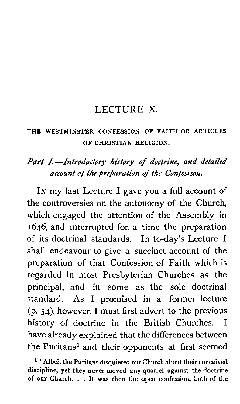#### LECTURE X.

#### THE WESTMINSTER CONFESSION OF FAITH OR ARTICLES OF CHRISTIAN RELIGION.

#### Part I.-Introductory history of doctrine, and detailed account of the preparation of the Confession.

IN my last Lecture I gave you a full account of the controversies on the autonomy of the Church, which engaged the attention of the Assembly in 1646, and interrupted for. a time the preparation of its doctrinal standards. In to-day's Lecture I shall endeavour to give a succinct account of the preparation of that Confession of Faith which is regarded in most Presbyterian Churches as the principal, and in some as the sole doctrinal standard. As I promised in a former lecture (p. 54), however, I must first advert to the previous history of doctrine in the British Churches. I have already explained that the differences between the Puritans<sup>1</sup> and their opponents at first seemed

**'Albeit the Puritans disquieted our Church about their conceived discipline, yet they never moved any quarrel against the doctrine of our Church.** . . **It was then the open confession, both of the**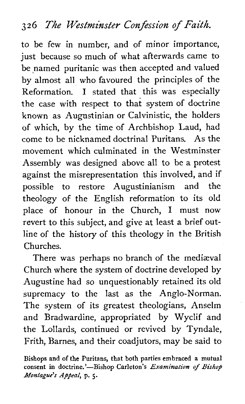## **3 2 6 The Westminster Confession of Faith.**

to be few in number, and of minor importance, just because so much of what afterwards came to be named puritanic was then accepted and valued by almost all who favoured the principles of the Reformation. I stated that this was especially the case with respect to that system of doctrine known as Augustinian or Calvinistic, the holders of which, by the time of Archbishop Laud, had come to be nicknamed doctrinal Puritans. As the movement which culminated in the Westminster Assembly was designed above all to be a protest against the misrepresentation this involved, and if possible to restore Augustinianism and the theology of the English reformation to its old place of honour in the Church, I must now revert to this subject, and give at least a brief outline of the history of this theology in the British Churches.

There was perhaps no branch of the mediaval Church where the system of doctrine developed by Augustine had so unquestionably retained its old supremacy to the last as the Anglo-Norman. The system of its greatest theologians, Anselm and Bradwardine, appropriated by Wyclif and the Lollards, continued or revived by Tyndale, Frith, Barnes, and their coadjutors, may be said to

**Bishops and of the Puritans, that both parties embraced a mutual consent in doctrine.'-Bishop Carleton's** *Examination* **of** *Bishop Monfague's Appeal,* **p.** *5.*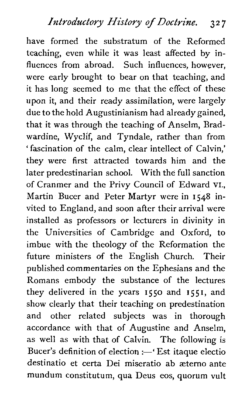have formed the substratum of the Reformed teaching, even while it was least affected by influences from abroad. Such influences, however, were early brought to bear on that teaching, and it has long seemed to me that the effect of these upon it, and their ready assimilation, were largely due to the hold Augustinianism had already gained, that it was through the teaching of Anselm, Bradwardine, Wyclif, and Tyndale, rather than from ' fascination of the calm, clear intellect of Calvin,' they were first attracted towards him and the later predestinarian school. With the full sanction of Cranmer and the Privy Council of Edward **vI.,**  Martin Bucer and Peter Martyr were in 1548 invited to England, and soon after their arrival were installed as professors or lecturers in divinity in the Universities of Cambridge and Oxford, to imbue with the theology of the Reformation the future ministers of the English Church. Their published commentaries on the Ephesians and the Romans embody the substance of the lectures they delivered in the years 1550 and 1551, and show clearly that their teaching on predestination and other related subjects was in thorough accordance with that of Augustine and Anselm, as well as with that of Calvin. The following is Bucer's definition of election :- 'Est itaque electio destinatio et certa Dei miseratio ab aeterno ante mundum constitutum, qua Deus eos, quorum vult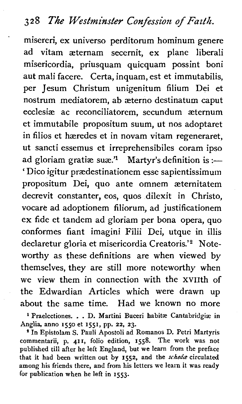misereri, ex universe perditorum hominum genere ad vitam aeternam secernit, ex plane liberal; misericordia, priusquam quicquam possint boni aut mali facere. Certa, inquam, est et immutabilis, per Jesum Christum unigenitum filium Dei et nostrum mediatorem, ab aeterno destinatum caput ecclesiae ac reconciliatorem, secundum aeternum et immutabile propositum suum, ut nos adoptaret in filios et haeredes et in novam vitam regeneraret, ut sancti essemus et irreprehensibiles coram ipso ad gloriam gratiæ suæ.<sup>'1</sup> Martyr's definition is :-' Dico igitur praedestinationem esse sapientissimum propositum Dei, quo ante omnem aeternitatem decrevit constanter, eos, quos dilexit in Christo, vocare ad adoptionem filiorum, ad justificationem ex fide et tandem ad gloriam per bona opera, quo conformes fiant imagini Filii Dei, utque in illis declaretur gloria et misericordia Creatoris.'<sup>2</sup> Noteworthy as these definitions are when viewed by themselves, they are still more noteworthy when we view them in connection with the XVIIth of the Edwardian Articles which were drawn up about the same time. Had we known no more

<sup>1</sup> Praelectiones. . . D. Martini Buceri habitæ Cantabridgiæ in Anglia, anno **1550** et **1551,** pp. **22, 23.** 

In Epistolam S. Pauli Apostoli ad Romanos D. Petri Martyris commentarii, p. **411,** folio edition, **1558.** The work was not published till after he left England, but we learn from the preface that it had been written out by **1552,** and the *scheda* circulated among his friends there, and from his letters we learn it was ready for publication when he left in **1553.**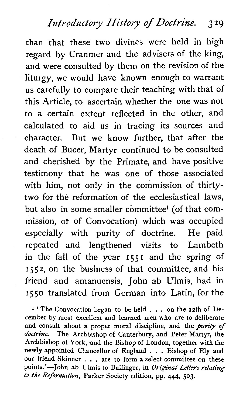than that these two divines were held in high regard by Cranmer and the advisers of the king, and were consulted by them on the revision of the liturgy, we would have known enough to warrant us carefully to compare their teaching with that of this Article, to ascertain whether the one was not to a certain extent reflected in the other, and calculated to aid us in tracing its sources and character. But we know further, that after the death of Bucer, Martyr continued to be consulted and cherished by the Primate, and have positive testimony that he was one of those associated with him, not only in the commission of thirtytwo for the reformation of the ecclesiastical laws, but also in some smaller committee<sup>1</sup> (of that commission, of of Convocation) which was occupied especially with purity of doctrine. He paid repeated and lengthened visits to Lambeth in the fall of the year **<sup>I</sup>55 I** and the spring of **1552,** on the business of that committee, and his friend and amanuensis, John ab Ulmis, had in **1550** translated from German into Latin, for the

**1** 'The Convocation began to be held . . . on the 12th of December by most excellent and learned men who are to deliberate and consult about a proper moral discipline, and the **purity** *of doctrine.* The Archbishop of Canterbury, and Peter Martyr, the Archbishop of York, and the Bishop of London, together with the newly appointed Chancellor of England . . . Bishop of Ely and our friend Skinner . . . are to form a select committee on these points.'-John ab Ulmis to Bullinger, in *Original Letters relating to the Reformation,* Parker Society edition, pp. 444, **503.**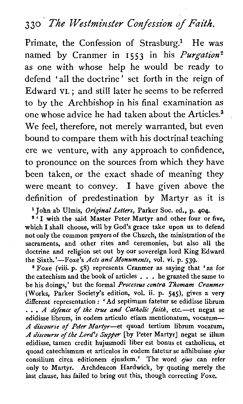## **3** *30 The Westminster* **Confession** *of Faith.*

Primate, the Confession of Strasburg.<sup>1</sup> He was named by Cranmer in **1553** in his **Purgation2**  as one with whose help he would be ready to defend 'all the doctrine' set forth in the reign of Edward VI. ; and still later he seems to be referred to by the Archbishop in his final examination as one whose advice he had taken about the Articles.<sup>3</sup> We feel, therefore, not merely warranted, but even bound to compare them with his doctrinal teaching ere we venture, with any approach to confidence, to pronounce on the sources from which they have been taken, or the exact shade of meaning they were meant to convey. I have given above the definition of predestination by Martyr as it is

**<sup>l</sup>**John ab Ulmis, *Original* Letters, Parker Soc. ed., p. **404.** ' ' I with the said Master Peter Martyr and other four or five,

which I shall choose, will by God's grace take upon us to defend not only the common prayers of the Church, the ministration of the sacraments, and other rites and ceremonies, but also all the doctrine and religion set out by our sovereign lord King Edward the Sixth.'-Foxe's *Acts and Monuments,* vol. **vi.** p. 539.

Foxe (viii. p. **58)** represents Cranmer as saying that **'as** for the catechism and the book of articles . . . he granted the same to be his doings,' but the formal *Processus contra Thornam Cranmer*  (Works, Parker Society's edition, vol. ii. p. **545),** gives a very different representation : 'Ad septimum fatetur se edidisse librum ... *A defence of the true and Catholic faith*, etc.--et negat se edidisse librum, in eodem articulo etiam mentionatum, vocatum-*A discourse of Peter Martyr*-et quoad tertium librum vocatum, A discourse of the Lord's Supper [by Peter Martyr] negat se illum edidisse, tamen credit hujusmodi liber est bonus et catholicus, et quoad catechismum et articulos in eodem fatetur se adhibuisse **ejus**  consilium circa editionem ejusdem.' The word *qus* can refer only to Martyr. Archdeacon Hardwick, by quoting merely the last clause, has failed to bring out this, though correcting Foxe.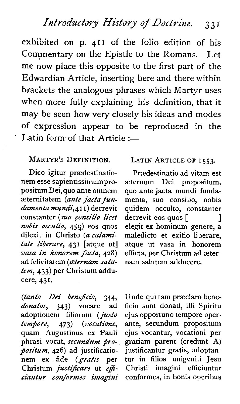exhibited on p. **41 I** of the folio edition of his Commentary on the Epistle to the Romans. Let me now place this opposite to the first part of the Edwardian Article, inserting here and there within brackets the analogous phrases which Martyr uses when more fully explaining his definition, that it may be seen how very closely his ideas and modes of expression appear to be reproduced in the Latin form of that Article  $:=$ 

#### MARTYR'S DEFINITION.

Dico igitur prædestinationem esse sapientissimumpropositum Dei, quo ante omnem aeternitatem (ante jacta fundamenta mundi.411) decrevit constanter (suo consilio licet nobis occulto, **459)** eos quos dilexit in Christo (a calamifate liberare, **431** [atque ut] vasa in hono~em facia, **428)**  ad felicitatem (aternam salutern, **433)** per Christum adducere, **431.** 

(tanto Dei beneficio, **344,**  donatos, 343) vocare ad adoptionem filiorum (justo<br>tempore, 473) (vocatione,  $tempore, 473$ quam Augustinus ex Pauli phrasi vocat, secundum pro $position$ , 426) ad justificationem ex fide (gratis per Christum justificare ut efficiantur conformes imagini

#### LATIN ARTICLE OF **I 553.**

Prasdestinatio ad vitam est aetemum Uei propositum, quo ante jacta mundi fundamenta, suo consilio, nobis quidem occulto, constanter decrevit eos quos [ 1 elegit ex hominum genere, a maledicto et exitio liberare, atque ut vasa in honorem efficta, per Christum ad asternam salutem adducere.

Unde qui tam præclaro beneficio sunt donati, illi Spiritu ejus opportune tempore operante, secundum propositum ejus vocantur, vocationi per gratiam parent (credunt A) justificantur gratis, adoptantur in filios unigeniti Jesu Christi imagini efficiuntur conformes, in bonis operibus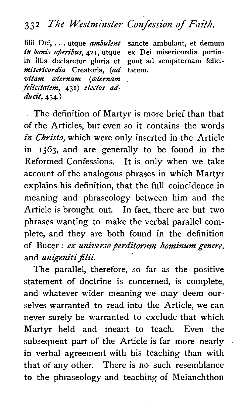## **33 2 The Westminster Confession of Faith.**

filii Dei, . . . utque *ambulent* sancte ambulant, et demum<br>*in bonis operibus*, 421. utque ex Dei misericordia pertin*in bonis operibus*, 421, utque in illis declaretur gloria et misericordia Creatoris, lad vitam *aternam (aternam* felicitatem, 431) electos adducit. **434.**)

gunt ad sempiternam felici-

The definition of Martyr is more brief than that of the Articles, but even so it contains the words in Christo, which were only inserted in the Article in 1563, and are generally to be found in the Reformed Confessions. It is only when we take account of the analogous phrases in which Martyr explains his definition, that the full coincidence in meaning and phraseology between him and the Article is brought out. In fact, there are but two phrases wanting to make the verbal parallel complete, and they are both found in the definition of Bucer: ex universo perditorum hominum genere, and unigeniti filii.

The parallel, therefore, so far as the positive statement of doctrine is concerned, is complete, and whatever wider meaning we may deem ourselves warranted to read into the Article, we can never surely be warranted to exclude that which Martyr held and meant to teach. Even the subsequent part of the Article is far more nearly in verbal agreement with his teaching than with that of any other. There is no such resemblance to the phraseology and teaching of Melanchthon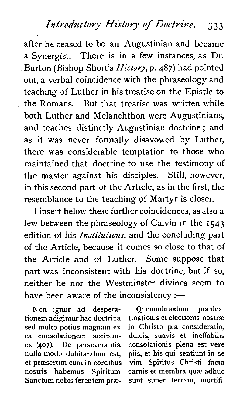### *Introductory History of Doctrine.* 3 3 **<sup>3</sup>**

after he ceased to be an Augustinian and became a Synergist. There is in a few instances, as Dr. Burton (Bishop Short's *History,* p. 487) had pointed out, a verbal coincidence with the phraseology and teaching of Luther in his treatise on the Epistle to the Romans. But that treatise was written while both Luther and Melanchthon were Augustinians, and teaches distinctly Augustinian doctrine ; and as it was never formally disavowed by Luther, there was considerable temptation to those who maintained that doctrine to use the testimony of the master against his disciples. Still, however, in this second part of the Article, as in the first, the resemblance to the teaching of Martyr is closer.

I insert below these further coincidences, as also a few between the phraseology of Calvin in the **1543**  edition of his *Institutions*, and the concluding part of the Article, because it comes so close to that of the Article and of Luther. Some suppose that part was inconsistent with his doctrine, but if so, neither he nor the Westminster divines seem to have been aware of the inconsistency : $-$ 

Non igitur ad desperationem adigimur hac doctrina sed multo potius magnam ex ea consolationem accipimus (407). De perseverantia nu110 mod0 dubitandum est, et prassertim cum in cordibus nostris habemus Spiritum Sanctum nobis ferentem præ-

Ouemadmodum prædestinationis et electionis nostras in Christo pia consideratio, dulcis, suavis et ineffabilis consolationis plena est vere piis, et his qui sentiunt in se vim Spiritus Christi facta carnis et membra quæ adhuc sunt super terram, mortifi-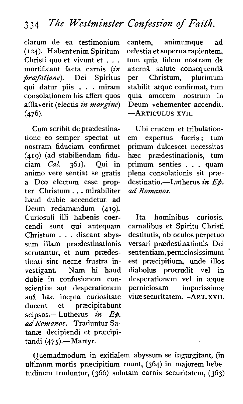clarurn de ea testimonium (I *24).* Habent enim Spiritum Christi quo et vivunt et . . .<br>mortificant facta carnis (in<br>praefatione). Dei Spiritus *prcefatione).* Dei Spiritus qui datur piis . . . miram consolationem his affert quos afflaverit (electis in *margthe) (476).* 

Cum scribit de prædestinatione eo semper spectat ut nostram fiduciam confirmet *(419)* (ad stabiliendam fiduciam *Cal.* animo vere sentiat se gratis **a** Deo electum esse propter Christum . . . mirabiliter haud dubie accendetur. ad Deum redamandum **(419).**  Curiosuli illi habenis coercendi sunt qui antequam Christum . . . discant abyssum illam praedestinationis scrutantur, et num prædestinati sint necne frustra investigant. Nam hi haud dubie in confusionem conscientiae aut desperationem suâ hac inepta curiositate<br>ducent et præcipitabunt praecipitabunt seipsos.-Lutherus in *Et*. ad *Romanos.* Traduntur Satanae decipiendi et praecipi $t$ andi  $(475)$ .-Martyr.

cantern, animumque ad celestia et superna rapientem, turn quia fidem nostram de æternå salute consequendâ per Christum, plurimum stabilit atque confirmat, tum quia amorem nostrum in Deum vehementer accendit. -ARTICULUS **XVII.** 

Ubi crucem et tribulationem expertus fueris; tum primum dulcescet necessitas hæc prædestinationis, tum primum senties . . . quam plena consolationis sit praedestinati0.-Lutherus *in* **Ep.**  *ad Romanes.* 

Ita hominibus curiosis, carnalibus et Spiritu Christi destitutis, ob oculos perpetuo versari prædestinationis Dei<br>sententiam, perniciosissimum est præcipitium, unde illos diabolus protrudit vel in desperationem vel in æque<br>perniciosam impurissimæ perniciosam vitae securitatem.-ART. **xvn.** 

Quemadmodum in exitialem abyssum se ingurgitant, (in ultimum mortis praecipitium ruunt, *(364)* in majorem hebetudinem truduntur, (366) solutam carnis securitatem, (363)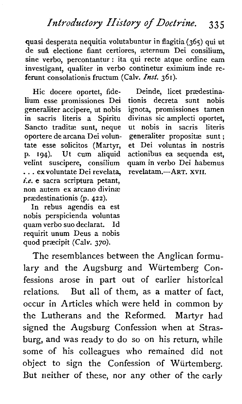quasi desperata nequitia volutabuntur in flagitia (365) qui ut de su& elections fiant certiores, sternum Dei consilium, sine verbo, percontantur : ita qui recte atque ordine eam investigant, qualiter in verbo continetur eximium inde referunt consolationis fructum (Calv. *Inst.* 361).

Hic docere oportet, fide-Hum esse promissiones Dei generaliter accipere, ut nobis in sacris literis a Spiritu Sancto traditæ sunt, neque oportere de arcana Dei voluntate esse solicitos (Martyr, p. **194).** Ut cum aliquid velint suscipere, consilium . . . ex voluntate Dei revelata, **i.e.** e sacra scriptura petant, non autem ex arcano divinae praedestinationis (p. **422).** 

In rebus agendis ea est nobis perspicienda voluntas quam verbo suo declarat. Id requirit unum Deus a nobis quod prascipit (Calv. 370).

Deinde, licet praedestinationis decreta sunt nobis ignota, promissiones tamen divinas sic amplecti oportet,<br>ut nobis in sacris literis  $ut$  nobis in sacris generaliter propositæ sunt; et Dei voluntas in nostris actionibus ea sequenda est, quam in verbo Dei habemus revelatam.-ART. **xv11.** 

The resemblances between the Anglican formulary and the Augsburg and Wurtemberg Confessions arose in part out of earlier historical relations. But all of them, as a matter of fact, occur in Articles which were held in common by the Lutherans and the Reformed. Martyr had signed the Augsburg Confession when at Strasburg, and was ready to do so on his return, while some of his colleagues who remained did not object to sign the Confession of Wurtemberg. But neither of these, nor any other of the early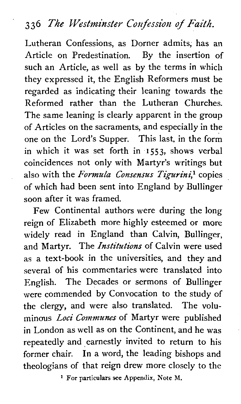## **336 The PVestminster Confession of** *Faith.*

Lutheran Confessions, as Dorner admits, has an Article on Predestination. By the insertion of such an Article, as well as by the terms in which they expressed it, the English Reformers must be regarded as indicating their leaning towards the Reformed rather than the Lutheran Churches. The same leaning is clearly apparent in the group of Articles on the sacraments, and especially in the one on the Lord's Supper. This last, in the form in which it was set forth in **1553,** shows verbal coincidences not only with Martyr's writings but also with the *Formula Consensus Tigurini,l* copies of which had been sent into England by Bullinger soon after it was framed.

Few Continental authors were during the long reign of Elizabeth more highly esteemed or more widely read in England than Calvin, Bullinger, and Martyr. The *Institutions* of Calvin were used as a text-book in the universities, and they and several of his commentaries were translated into English. The Decades or sermons of Bullinger were commended by Convocation to the study of the clergy, and were also translated. The voluminous *Loci Communes* of Martyr were published in London as well as on the Continent, and he was repeatedly and earnestly invited to return to his former chair. In a word, the leading bishops and theologians of that reign drew more closely to the

For **particulars see Appendix, Note M.**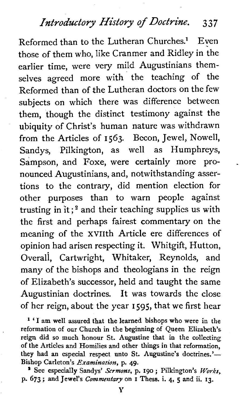# **Introductory** History **of Doctrine. 3 3 7**

Reformed than to the Lutheran Churches.<sup>1</sup> Even those of them who, like Cranmer and Ridley in the earlier time, were very mild Augustinians themselves agreed more with the teaching of the Reformed than of the Lutheran doctors on the few subjects on which there was difference between them, though the distinct testimony against the ubiquity of Christ's human nature was withdrawn from the Articles of 1563. Becon, Jewel, Nowell, Sandys, Pilkington, as well as Humphreys, Sampson, and Foxe, were certainly more pronounced Augustinians, and, notwithstanding assertions to the contrary, did mention election for other purposes than to warn people against trusting in it  $:$ <sup>2</sup> and their teaching supplies us with the first and perhaps fairest commentary on the meaning of the XVIIth Article ere differences of opinion had arisen respecting it. Whitgift, Hutton, Overall, Cartwright, Whitaker, Reynolds, and many of the bishops and theologians in the reign of Elizabeth's successor, held and taught the same Augustinian doctrines. It was towards the close of her reign, about the year 1595, that we first hear

<sup>1</sup> 'I am well assured that the learned bishops who were in the reformation of our Church in the beginning of Queen Elizabeth's reign did so much honour St. Augustine that in the collecting of the Articles and Homilies and other things in that reformation, they had an especial respect unto St. Augustine's doctrines.'-Bishop Carleton's *Examination,* p. 49. ' See especially Sandys' **Sermons,** p. 190 ; Pilkington's *Works,* 

p. 673 ; and Jewel's Commentary on I These.. i. 4, **5** and ii. **13.**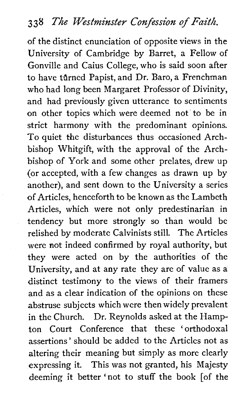of the distinct enunciation of opposite views in the University of Cambridge by Barret, a Fellow of Gonville and Caius College, who is said soon after to have turned Papist, and Dr. Baro, a Frenchman who had long been Margaret Professor of Divinity, and had previously given utterance to sentiments on other topics which were deemed not to be in strict harmony with the predominant opinions. To quiet the disturbances thus occasioned Archbishop Whitgift, with the approval of the Archbishop of York and some other prelates, drew up (or accepted, with a few changes as drawn up by another), and sent down to the University a series of Articles, henceforth to be known as the Lambeth Articles, which were not only predestinarian in tendency but more strongly so than would be relished by moderate Calvinists still. The Articles were not indeed confirmed by royal authority, but they were acted on by the authorities of the University, and at any rate they are of value as a distinct testimony to the views of their framers and as a clear indication of the opinions on these abstruse subjects which were then widely prevalent in the Church. Dr. Reynolds asked at the Hampton Court Conference that these 'orthodoxal assertions' should be added to the Articles not as altering their meaning but simply as more clearly expressing it. This was not granted, his Majesty deeming it better 'not to stuff the book [of the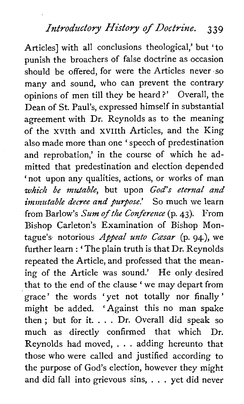Articles] with all conclusions theological,' but 'to punish the broachers of false doctrine as occasion should be offered, for were the Articles never so many and sound, who can prevent the contrary opinions of men till they be heard ?' Overall, the Dean of St. Paul's, expressed himself in substantial agreement with Dr. Reynolds as to the meaning of the xvith and xviith Articles, and the King also made more than one ' speech of predestination and reprobation,' in the course of which he admitted that predestination and election depended 'not upon any qualities, actions, or works of man *which be mutable, but upon God's eternal and immutable decree and purpose.'* So much we learn from Barlow's *Sum of the Conference* (p. 43). From Bishop Carleton's Examination of Bishop Montague's notorious *Appeal unto Casar* (p. 94), we further learn : ' The plain truth is that Dr. Reynolds repeated the Article, and professed that the meaning of the Article was sound.' He only desired that to the end of the clause 'we may depart from grace' the words 'yet not totally nor finally' might be added. 'Against this no man spake then; but for it.  $\ldots$  Dr. Overall did speak so much as directly confirmed that which Dr. Reynolds had moved, . . . adding hereunto that those who were called and justified according to the purpose of God's election, however they might and did fall into grievous sins, . . . yet did never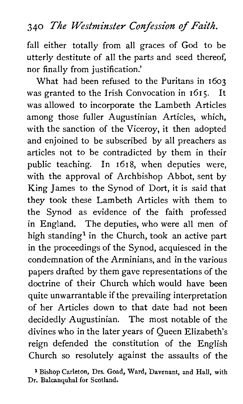## **340** *The Westminster Confession* **of** *Faith.*

fall either totally from all graces of God to be utterly destitute of all the parts and seed thereof, nor finally from justification.'

What had been refused to the Puritans in 1603 was granted to the Irish Convocation in 1615. It was allowed to incorporate the Lambeth Articles among those fuller Augustinian Articles, which, with the sanction of the Viceroy, it then adopted and enjoined to be subscribed by all preachers as articles not to be contradicted by them in their public teaching. In 1618, when deputies were, with the approval of Archbishop Abbot, sent by King James to the Synod of Dort, it is said that they took these Lambeth Articles with them to the Synod as evidence of the faith professed in England. The deputies, who were all men of high standing<sup>1</sup> in the Church, took an active part in the proceedings of the Synod, acquiesced in the condemnation of the Arminians, and in the various papers drafted by them gave representations of the doctrine of their Church which would have been quite unwarrantable if the prevailing interpretation of her Articles down to that date had not been decidedly Augustinian. The most notable of the divines who in the later years of Queen Elizabeth's reign defended the constitution of the English Church so resolutely against the assaults of the

**1 Bishop Carleton, Drs. Goad, Ward, Davenant, and Hall, with Dr. Balcanquhal for Scotland.**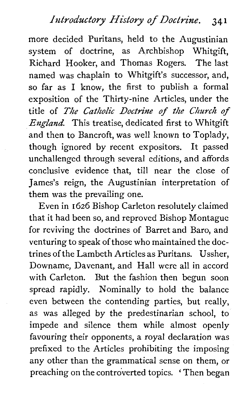more decided Puritans, held to the Augustinian system of doctrine, as Archbishop Whitgift, Richard Hooker, and Thomas Rogers. The last named was chaplain to Whitgift's successor, and, so far as I know, the first to publish a formal exposition of the Thirty-nine Articles, under the title of The *Catholic Doctkne of the Church of*  **England.** This treatise, dedicated first to Whitgift and then to Bancroft, was well known to Toplady, though ignored by recent expositors. It passed unchallenged through several editions, and affords conclusive evidence that, till near the close of James's reign, the Augustinian interpretation of them was the prevailing one.

Even in 1626 Bishop Carleton resolutely claimed that it had been so, and reproved Bishop Montague for reviving the doctrines of Barret and Baro, and venturing to speak of those who maintained the doctrines of the Lambeth Articles as Puritans. Ussher, Downame, Davenant, and Hall were all in accord with Carleton. But the fashion then begun soon spread rapidly. Nominally to hold the balance even between the contending parties, but really, as was alleged by the predestinarian school, to impede and silence them while almost openly favouring their opponents, a royal declaration was prefixed to the Articles prohibiting the imposing any other than the grammatical sense on them, or preaching on the controverted topics. ' Then began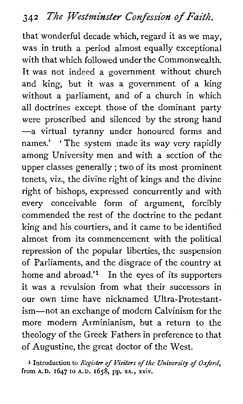that wonderful decade which, regard it as we may, was in truth a period almost equally exceptional with that which followed under the Commonwealth. It was not indeed a government without church and king, but it was a government of a king without a parliament, and of a church in which all doctrines except those of the dominant party were proscribed and silenced by the strong hand -a virtual tyranny under honoured forms and names.' ' The system made its way very rapidly among University men and with *a* section of the upper classes generally ; two of its most prominent tenets, viz., the divine right of kings and the divine right of bishops, expressed concurrently and with every conceivable form of argument, forcibly commended the rest of the doctrine to the pedant king and his courtiers, and it came to be identified almost from its commencement with the political repression of the popular liberties, the suspension of Parliaments, and the disgrace of the country at home and abroad.' $\frac{1}{1}$  In the eyes of its supporters it was a revulsion from what their successors in our own time have nicknamed Ultra-Protestantism-not an exchange of modern Calvinism for the more modern Arminianism, but a return to the theology of the Greek Fathers in preference to that of Augustine, the great doctor of the West.

**l** Introduction to *Register* of Visitors of *the University* of Oxford, from  $A.D. 1647$  to  $A.D. 1658$ , pp. xx., xxiv.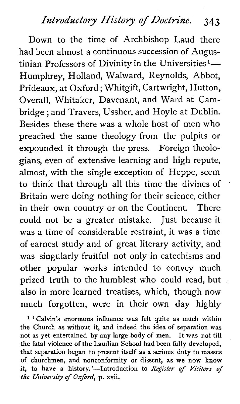## **Introductory History of Doctrine. 343**

Down to the time of Archbishop Laud there had been almost a continuous succession of Augustinian Professors of Divinity in the Universities<sup>1</sup> $-$ Humphrey, Holland, Walward, Reynolds, Abbot, Prideaux, at Oxford ; Whitgift, Cartwright, Hutton, Overall, Whitaker, Davenant, and Ward at Cambridge ; and Travers, Ussher, and Hoyle at Dublin. Besides these there was a whole host of men who preached the same theology from the pulpits or expounded it through the press. Foreign theologians, even of extensive learning and high repute, almost, with the single exception of Heppe, seem to think that through all this time the divines of Britain were doing nothing for their science, either in their own country or on the Continent. There could not be a greater mistake. Just because it was a time of considerable restraint, it was a time of earnest study and of great literary activity, and was singularly fruitful not only in catechisms and other popular works intended to convey much prized truth to the humblest who could read, but also in more learned treatises, which, though now much forgotten, were in their own day highly

<sup>1</sup> ' Calvin's enormous influence was felt quite as much within the Church as without it, and indeed the idea of separation was not as yet entertained by any large body of men. It was not till the fatal violence of the Laudian School had been fully developed, that separation began to present itself as a serious duty to masses of churchmen, and nonconformity or dissent, as we now know it, to have a history.'-Introduction to Register of Visitors of *the* University of Oxford, p. xvii.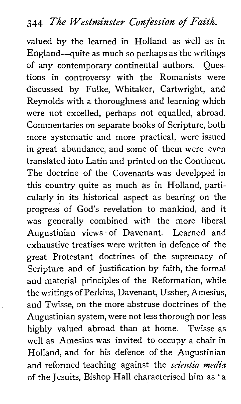## *344 The Westminster* **Confession** *of Faith.*

valued by the learned in Holland as well as in England-quite as much so perhaps as the writings of any contemporary continental authors. Questions in controversy with the Romanists were discussed by Fulke, Whitaker, Cartwright, and Reynolds with a thoroughness and learning which were not excelled, perhaps not equalled, abroad. Commentaries on separate books of Scripture, both more systematic and more practical, were issued in great abundance, and some of them were even translated into Latin and printed on the Continent. The doctrine of the Covenants was developed in this country quite as much as in Holland, particularly in its historical aspect as bearing on the progress of God's revelation to mankind, and it was generally combined with the more liberal Augustinian views. of Davenant. Learned and exhaustive treatises were written in defence of the great Protestant doctrines of the supremacy of Scripture and of justification by faith, the formal and material principles of the Reformation, while the writings of Perkins, Davenant, Ussher, Amesius, and Twisse, on the more abstruse doctrines of the Augustinian system, were not less thorough nor less highly valued abroad than at home. Twisse as well as Amesius was invited to occupy a chair in Holland, and for his defence of the Augustinian and reformed teaching against the *scientia media*  of the Jesuits, Bishop Hall characterised him as 'a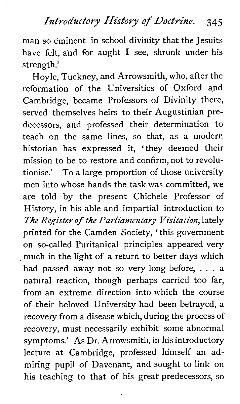man so eminent in school divinity that the Jesuits have felt, and for aught I see, shrunk under his strength.'

Hoyle, Tuckney, and Arrowsmith, who, after the reformation of the Universities of Oxford and Cambridge, became Professors of Divinity there, served themselves heirs to their Augustinian predecessors, and professed their determination to teach on the same lines, so that, as a modern historian has expressed it, 'they deemed their mission to be to restore and confirm, not to revolutionise.' To a large proportion of those university men into whose hands the task was committed, we are told by the present Chichele Professor of History, in his able and impartial introduction to The Register of the Parliamentary Visitation, lately printed for the Camden Society, 'this government on so-called Puritanical principles appeared very much in the light of a return to better days which had passed away not so very long before, . . . <sup>a</sup> natural reaction, though perhaps carried too far, from an extreme direction into which the course of their beloved University had been betrayed, a recovery from a disease which, during the process of recovery, must necessarily exhibit some abnormal symptoms.' As Dr. Arrowsmith, in his introductory lecture at Cambridge, professed himself an admiring pupil of Davenant, and sought to link on his teaching to that of his great predecessors, so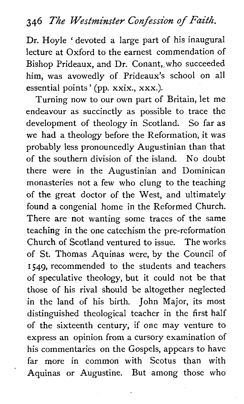## *346 The Westminster Confession of Faith.*

Dr. Hoyle ' devoted a large part of his inaugural lecture at Oxford to the earnest commendation of Bishop Prideaux, and Dr. Conant,,who succeeded him, was avowedly of Prideaux's school on all essential points ' (pp. xxix., xxx.).

Turning now to our own part of Britain, let me endeavour as succinctly as possible to trace the development of theology in Scotland. So far as we had a theology before the Reformation, it was probably less pronouncedly Augustinian than that of the southern division of the island. No doubt there were in the Augustinian and Dominican monasteries not a few who clung to the teaching of the great doctor of the West, and ultimately found a congenial home in the Reformed Church. There are not wanting some traces of the same teaching in the one catechism the pre-reformation Church of Scotland ventured to issue. The works of St. Thomas Aquinas were, by the Council of **1549,** recommended to the students and teachers of speculative theology, but it could not be that those of his rival should be altogether neglected in the land of his birth. John Major, its most distinguished theological teacher in the first half of the sixteenth century, if one may venture to express an opinion from a cursory examination of his commentaries on the Gospels, appears to have far more in common with Scotus than with Aquinas or Augustine. But among those who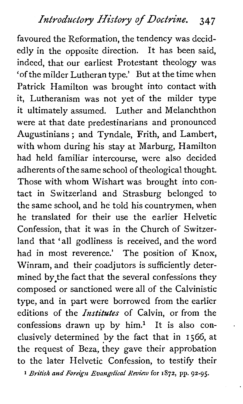favoured the Reformation, the tendency was decidedly in the opposite direction. It has been said, indeed, that our earliest Protestant theology was 'of the milder Lutheran type.' But at the time when Patrick Hamilton was brought into contact with it, Lutheranism was not yet of the milder type it ultimately assumed. Luther and Melanchthon were at that date predestinarians and pronounced Augustinians ; and Tyndale, Frith, and Lambert, with whom during his stay at Marburg, Hamilton had held familiar intercourse, were also decided adherents of the same school of theological thought. Those with whom Wishart was brought into contact in Switzerland and Strasburg belonged to the same school, and he told his countrymen, when he translated for their use the earlier Helvetic Confession, that it was in the Church of Switzerland that 'all godliness is received, and the word had in most reverence.' The position of Knox, Winram, and their coadjutors is sufficiently determined by the fact that the several confessions they composed or sanctioned were all of the Calvinistic type, and in part were borrowed from the earlier editions of the *Institutes* of Calvin, or from the confessions drawn up by  $him.$ <sup>1</sup> It is also conelusively determined by the fact that in **I** 566, at the request of Beza, they gave their approbation to the later Helvetic Confession, to testify their

**1** *British and Foreign Evangelical Review* **for 1872, pp. 92-95.**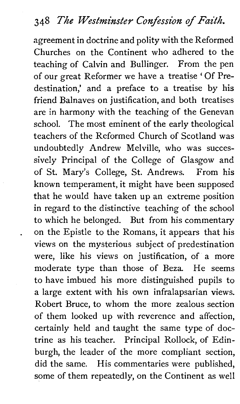agreement in doctrine and polity with the Reformed Churches on the Continent who adhered to the teaching of Calvin and Bullinger. From the pen of our great Reformer we have a treatise ' Of Predestination,' and a preface to a treatise by his friend Balnaves on justification, and both treatises are in harmony with the teaching of the Genevan school. The most eminent of the early theological teachers of the Reformed Church of Scotland was undoubtedly Andrew Melville, who was successively Principal of the College of Glasgow and of St. Mary's College, St. Andrews. From his known temperament, it might have been supposed that he would have taken up an extreme position in regard to the distinctive teaching of the school to which he belonged. But from his commentary on the Epistle to the Romans, it appears that his views on the mysterious subject of predestination were, like his views on justification, of a more moderate type than those of Beza. He seems to have imbued his more distinguished pupils to a large extent with his own infralapsarian views. Robert Bruce, to whom the more zealous section of them looked up with reverence and affection, certainly held and taught the same type of doctrine as his teacher. Principal Rollock, of Edinburgh, the leader of the more compliant section, did the same. His commentaries were published, some of them repeatedly, on the Continent as well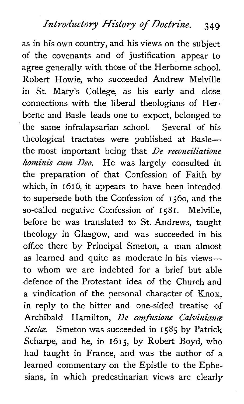as in his own country, and his views on the subject of the covenants and of justification appear to agree generally with those of the Herborne school. Robert Howie, who succeeded Andrew Melville in St. Mary's College, as his early and close connections with the liberal theologians of Herborne and Basle leads one to expect, belonged to the same infralapsarian school. Several of his theological tractates were published at Baslethe most important being that *De reconciliatione horninis cm Deo.* He was largely consulted in the preparation of that Confession of Faith by which, in 1616, it appears to have been intended to supersede both the Confession of 1560, and the so-called negative Confession of 1581. Melville, before he was translated to St. Andrews, taught theology in Glasgow, and was succeeded in his office there by Principal Smeton, a man almost as learned and quite as moderate in his viewsto whom we are indebted for a brief but able defence of the Protestant idea of the Church and a vindication of the personal character of Knox, in reply to the bitter and one-sided treatise of Archibald Hamilton, *De confusione Calvinians*  Secta. Smeton was succeeded in 1585 by Patrick Scharpe, and he, in 1615, by Robert Boyd, who had taught in France, and was the author of a learned commentary on the Epistle to the Ephesians, in which predestinarian views are clearly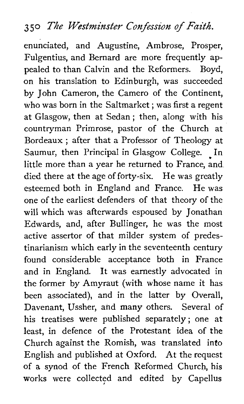## **3 50 The Westminster Confession of** *Faith.*

enunciated, and Augustine, Ambrose, Prosper, Fulgentius, and Bernard are more frequently appealed to than Calvin and the Reformers. Boyd, on his translation to Edinburgh, was succeeded by John Cameron, the Camero of the Continent, who was born in the Saltmarket ; was first a regent at Glasgow, then at Sedan ; then, along with his countryman Primrose, pastor of the Church at Bordeaux ; after that a Professor of Theology at Saumur, then Principal in Glasgow College. In little more than a year he returned to France, and died there at the age of forty-six. He was greatly esteemed both in England and France. He was one of the earliest defenders of that theory of the will which was afterwards espoused by Jonathan Edwards, and, after Bullinger, he was the most active assertor of that milder system of predestinarianism which early in the seventeenth century found considerable acceptance both in France and in England. It was earnestly advocated in the former by Amyraut (with whose name it has been associated), and in the latter by Overall, Davenant, Ussher, and many others. Several of his treatises were published separately; one at least, in defence of the Protestant idea of the Church against the Romish, was translated into English and published at Oxford. At the request of a synod of the French Reformed Church, his works were collected and edited by Capellus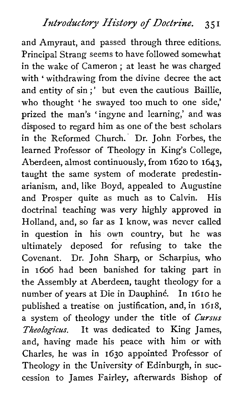and Amyraut, and passed through three editions. Principal Strang seems to have followed somewhat in the wake of Cameron ; at least he was charged with ' withdrawing from the divine decree the act and entity of sin;' but even the cautious Baillie, who thought 'he swayed too much to one side,' prized the man's 'ingyne and learning,' and was disposed to regard him as one of the best scholars in the Reformed Church. Dr. John Forbes, the learned Professor of Theology in King's College, Aberdeen, almost continuously, from 1620 to 1643, taught the same system of moderate predestinarianism, and, like Boyd, appealed to Augustine and Prosper quite as much as to Calvin. His doctrinal teaching was very highly approved in Holland, and, so far as I know, was never called in question in his own country, but he was ultimately deposed for refusing to take the Covenant. Dr. John Sharp, or Scharpius, who in 1606 had been banished for taking part in the Assembly at Aberdeen, taught theology for a number of years at Die in Dauphine. In 1610 he published a treatise on justification, and, in 1618, a system of theology under the title of *Cursus*  **Theologicus.** It was dedicated to King James, and, having made his peace with him or with Charles, he was in 1630 appointed Professor of Theology in the University of Edinburgh, in succession to James Fairley, afterwards Bishop of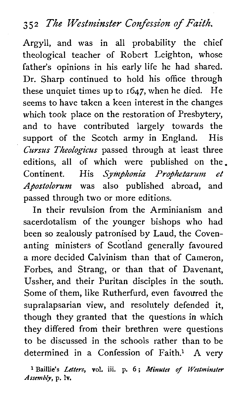## **3 5 2 The Westntinster Confession of Faith.**

Argyll, and was in all probability the chief theological teacher of Robert Leighton, whose father's opinions in his early life he had shared. Dr. Sharp continued to hold his office through these unquiet times up to 1647, when he died. He seems to have taken a keen interest in the changes which took place on the restoration of Presbytery, and to have contributed largely towards the support of the Scotch army in England. His Cursus Theologicus passed through at least three editions, all of which were published on the. Continent. His *Symphonia Prophetarum et* Apostolorum was also published abroad, and passed through two or more editions.

In their revulsion from the Arminianism and sacerdotalism of the younger bishops who had been so zealously patronised by Laud, the Covenanting ministers of Scotland generally favoured a more decided Calvinism than that of Cameron, Forbes, and Strang, or than that of Davenant, Ussher, and their Puritan disciples in the south. Some of them, like Rutherfurd, even favoured the supralapsarian view, and resolutely defended it, though they granted that the questions in which they differed from their brethren were questions to be discussed in the schools rather than to be determined in a Confession of Faith.<sup>1</sup> A very

**Baillie's** *Letters,* **vol.** iii. **p.** *<sup>6</sup>*; *Minutes of Westminster Assembly,* **p. lv.**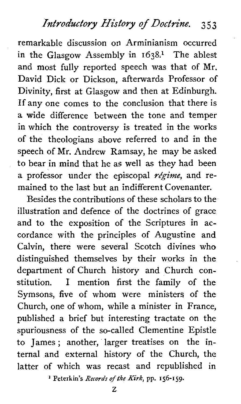## *Introductory History of Doctrine.* **3** *5* **3**

remarkable discussion on Arminianism occurred in the Glasgow Assembly in **1638.l** The ablest and most fully reported speech was that of Mr. David Dick or Dickson, afterwards Professor of Divinity, first at Glasgow and then at Edinburgh. If any one comes to the conclusion that there is a wide difference between the tone and temper in which the controversy is treated in the works of the theologians above referred to and in the speech of Mr. Andrew Ramsay, he may be asked to bear in mind that he as well as they had been a professor under the episcopal *régime*, and remained to the last but an indifferent Covenanter.

Besides the contributions of these scholars to the illustration and defence of the doctrines of grace and to the exposition of the Scriptures in accordance with the principles of Augustine and Calvin, there were several Scotch divines who distinguished themselves by their works in the department of Church history and Church constitution. I mention first the family of the Symsons, five of whom were ministers of the Church, one of whom, while a minister in France, published a brief but interesting tractate on the spuriousness of the so-called Clementine Epistle to James ; another, larger treatises on the internal and external history of the Church, the latter of which was recast and republished in

**l Peterkin's** *Records of the Kirk,* **pp. 156-159.**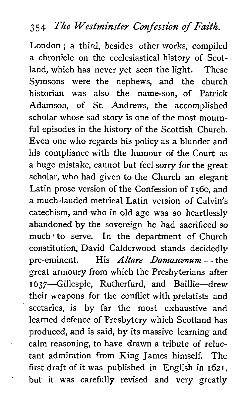## *35 4 l%e Wesfminster Confession of* **Faith.**

London ; a third, besides other works, compiled a chronicle on the ecclesiastical history of Scotland, which has never yet seen the light. These Symsons were the nephews, and the church historian was also the name-son, of Patrick Adamson, of St. Andrews, the accomplished scholar whose sad story is one of the most mournful episodes in the history of the Scottish Church. Even one who regards his policy as a blunder and his compliance with the humour of the Court as a huge mistake, cannot but feel sorry for the great scholar, who had given to the Church an elegant Latin prose version of the Confession of I 560, and a much-lauded metrical Latin version of Calvin's catechism, and who in old age was so heartlessly abandoned by the sovereign he had sacrificed so much to serve. In the department of Church constitution, David Calderwood stands decidedly much to serve. In the department of Church<br>constitution, David Calderwood stands decidedly<br>pre-eminent. His *Altare Damascenum* — the great armoury from which the Presbyterians after 1637-Gillespie, Rutherfurd, and Baillie-drew their weapons for the conflict with prelatists and sectaries, is by far the most exhaustive and learned defence of Presbytery which Scotland has produced, and is said, by its massive learning and calm reasoning, to have drawn a tribute of reluctant admiration from King James himself. The first draft of it was published in English in  $1621$ , but it was carefully revised and very greatly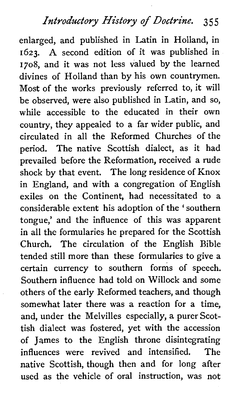*Introductory History of Doctrine.* 355

enlarged, and published in Latin in Holland, in 1623. **A** second edition of it was published in 1708, and it was not less valued by the learned divines of Holland than by his own countrymen. Most of the works previously referred to, it will be observed, were also published in Latin, and so, while accessible to the educated in their own country, they appealed to a far wider public, and circulated in all the Reformed Churches of the period. The native Scottish dialect, as it had prevailed before the Reformation, received a rude shock by that event. The long residence of Knox in England, and with a congregation of English exiles on the Continent, had necessitated to a considerable extent his adoption of the 'southern tongue,' and the influence of this was apparent in all the formularies he prepared for the Scottish Church. The circulation of the English Bible tended still more than these formularies to give a certain currency to southern forms of speech. Southern influence had told on Willock and some others of the early Reformed teachers, and though somewhat later there was a reaction for a time, and, under the Melvilles especially, a purer Scottish dialect was fostered, yet with the accession of James to the English throne disintegrating influences were revived and intensified. The native Scottish, though then and for long after used as the vehicle of oral instruction, was not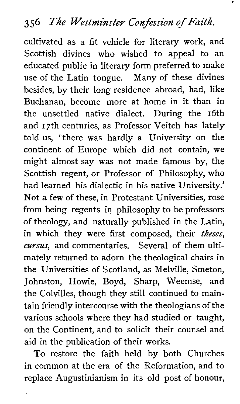cultivated as a fit vehicle for literary work, and Scottish divines who wished to appeal to an educated public in literary form preferred to make use of the Latin tongue. Many of these divines besides, by their long residence abroad, had, like Buchanan, become more at home in it than in the unsettled native dialect. During the 16th and 17th centuries, as Professor Veitch has lately told us, ' there was hardly a University on the continent of Europe which did not contain, we might almost say was not made famous by, the Scottish regent, or Professor of Philosophy, who had learned his dialectic in his native University.' Not a few of these, in Protestant Universities, rose from being regents in philosophy to be professors of theology, and naturally published in the Latin, in which they were first composed, their theses, *cursus,* and commentaries. Several of them ultimately returned to adorn the theological chairs in the Universities of Scotland, as Melville, Smeton, Johnston, Howie, Boyd, Sharp, Weemse, and the Colvilles, though they still continued to maintain friendly intercourse with the theologians of the various schools where they had studied or taught, on the Continent, and to solicit their counsel and aid in the publication of their works.

To restore the faith held by both Churches in common at the era of the Reformation, and to replace Augustinianism in its old post of honour,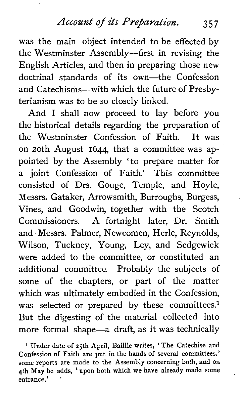*Account of its Prejaration. 357* 

was the main object intended to be effected by the Westminster Assembly—first in revising the English Articles, and then in preparing those new doctrinal standards of its own-the Confession and Catechisms-with which the future of Presbyterianism was to be so closely linked.

And I shall now proceed to lay before you the historical details regarding the preparation of the Westminster Confession of Faith. It was on 20th August 1644, that a committee was appointed by the Assembly 'to prepare matter for a joint Confession of Faith.' This committee consisted of Drs. Gouge, Temple, and Hoyle, Messrs. Gataker, Arrowsmith, Burroughs, Burgess, Vines, and Goodwin, together with the Scotch Commissioners. A fortnight later, Dr. Smith and Messrs. Palmer, Newcomen, Herle, Reynolds, Wilson, Tuckney, Young, Ley, and Sedgewick were added to the committee, or constituted an additional committee. Probably the subjects of some of the chapters, or part of the matter which was ultimately embodied in the Confession, was selected or prepared by these committees. $<sup>1</sup>$ </sup> But the digesting of the material collected into more formal shape-a draft, as it was technically

**<sup>1</sup>Under date of 25th April, Baillie writes, 'The Catechise and Confession of Faith are put in the hands of several committees,' some reports are made to the Assembly concerning both, and on 4th May he adds,** ' **upon both which we have already made some entrance.'** '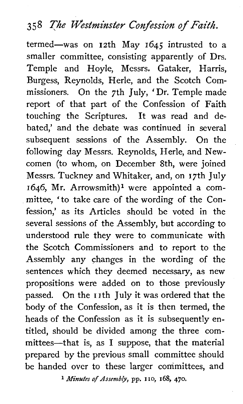# *358 The Westminster Confession of Faith.*

termed-was on 12th May 1645 intrusted to a smaller committee, consisting apparently of Drs. Temple and Hoyle, Messrs. Gataker, Harris, Burgess, Reynolds, Herle, and the Scotch Commissioners. On the 7th July, ' Dr. Temple made report of that part of the Confession of Faith touching the Scriptures. It was read and debated,' and the debate was continued in several subsequent sessions of the Assembly. On the following day Messrs. Reynolds, Herle, and Newcomen (to whom, on December Sth, were joined Messrs. Tuckney and Whitaker, and, on 17th July 1646, Mr. Arrowsmith)<sup>1</sup> were appointed a committee, 'to take care of the wording of the Confession,' as its Articles should be voted in the several sessions of the Assembly, but according to understood rule they were to communicate with the Scotch Commissioners and to report to the Assembly any changes in the wording of the sentences which they deemed necessary, as new propositions were added on to those previously passed. On the I ith July it was ordered that the body of the Confession, as it is then termed, the heads of the Confession as it is subsequently entitled, should be divided among the three committees-that is, as I suppose, that the material prepared by the previous small committee should be handed over to these larger committees, and **1** *Minutes* of *Assembly,* **pp.** no, **168, 470.**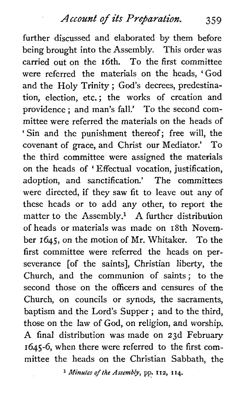Account of its Preparation. 359

further discussed and elaborated by them before being brought into the Assembly. This order was carried out on the 16th. To the first committee were referred the materials on the heads, 'God and the Holy Trinity ; God's decrees, predestination, election, etc.; the works of creation and providence ; and man's fall.' To the second committee were referred the materials on the heads of ' Sin and the punishment thereof; free will, the covenant of grace, and Christ our Mediator.' To the third committee were assigned the materials on the heads of ' Effectual vocation, justification, adoption, and sanctification.' The committees were directed, if they saw fit to leave out any of these heads or to add any other, to report the matter to the Assembly? **A** further distribution of heads or materials was made on 18th November 1645, on the motion of Mr. Whitaker. To the first committee were referred the heads on perseverance [of the saints], Christian liberty, the Church, and the communion of saints; to the second those on the officers and censures of the Church, on councils or synods, the sacraments, baptism and the Lord's Supper ; and to the third, those on the law of God, on religion, and worship. A final distribution was made on 23d February 1645-6, when there were referred to the first committee the heads on the Christian Sabbath, the

*Minutes* **of** *the Assembly,* **pp. 112,** *114.*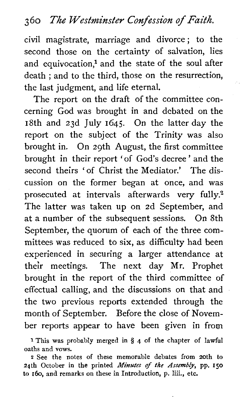## **3** *60 The Westminster Confession of Faith.*

civil magistrate, marriage and divorce; to the second those on the certainty of salvation, lies and equivocation,<sup>1</sup> and the state of the soul after death ; and to the third, those on the resurrection, the last judgment, and life eternal.

The report on the draft of the committee concerning God was brought in and debated on the 18th and 23d July 1645. On the latter day the report on the subject of the Trinity was also brought in. On 29th August, the first committee brought in their report 'of God's decree' and the second theirs ' of Christ the Mediator.' The discussion on the former began at once, and was prosecuted at intervals afterwards very fully.2 The latter was taken up on 2d September, and at a number of the subsequent sessions. On 8th September, the quorum of each of the three committees was reduced to six, as difficulty had been experienced in securing a larger attendance at their meetings. The next day Mr. Prophet brought in the report of the third committee of effectual calling, and the discussions on that and the two previous reports extended through the month of September. Before the close of November reports appear to have been given in from

**1** This was probably merged in *5* 4 of the chapter of lawful oaths and **vows.** 

**<sup>2</sup>**See the notes of these memorable debates from 20th to 24th October in the printed *Minutes* of *the Assembly,* pp. **150**  to 160, and remarks on these in Introduction, p. liii., etc.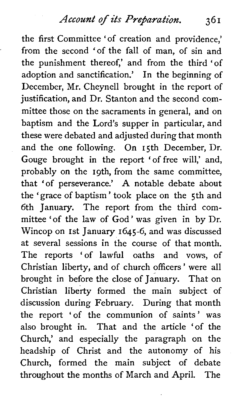*Account of its Prebaration.* 361

the first Committee 'of creation and providence,' from the second 'of the fall of man, of sin and the punishment thereof,' and from the third 'of adoption and sanctification.' In the beginning of December, Mr. Cheynell brought in the report of justification, and Dr. Stanton and the second committee those on the sacraments in general, and on baptism and the Lord's supper in particular, and these were debated and adjusted during that month and the one following. On 15th December, Dr. Gouge brought in the report 'of free will,' and, probably on the igth, from the same committee, that 'of perseverance.' **A** notable debate about the 'grace of baptism' took place on the 5th and 6th January. The report from the third committee 'of the law of God' was given in by Dr. Wincop on 1st January 1645-6, and was discussed at several sessions in the course of that month. The reports 'of lawful oaths and vows, of Christian liberty, and of church officers ' were all brought in before the close of January. That on Christian liberty formed the main subject of discussion during February. During that month the report 'of the communion of saints' was also brought in. That and the article 'of the Church,' and especially the paragraph on the headship of Christ and the autonomy of his Church, formed the main subject of debate throughout the months of March and April. The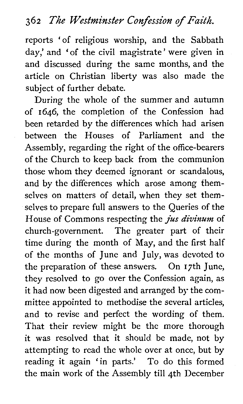reports 'of religious worship, and the Sabbath day,' and 'of the civil magistrate' were given in and discussed during the same months, and the article on Christian liberty was also made the subject of further debate.

During the whole of the summer and autumn of 1646, the completion of the Confession had been retarded by the differences which had arisen between the Houses of Parliament and the Assembly, regarding the right of the office-bearers of the Church to keep back from the communion those whom they deemed ignorant or scandalous, and by the differences which arose among themselves on matters of detail, when they set themselves to prepare full answers to the Queries of the House of Commons respecting the jus *divinum* of church-government. The greater part of their time during the month of May, and the first half of the months of June and July, was devoted to the preparation of these answers. On 17th June, they resolved to go over the Confession again, as it had now been digested and arranged by the committee appointed to methodise the several articles, and to revise and perfect the wording of them. That their review might be the more thorough it was resolved that it should be made, not by attempting to read the whole over at once, but by reading it again 'in parts.' To do this formed the main work of the Assembly till 4th December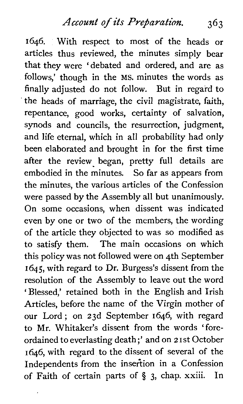1646. With respect to most of the heads or articles thus reviewed, the minutes simply bear that they were 'debated and ordered, and are as follows,' though in the MS. minutes the words as finally adjusted do not follow. But in regard to the heads of marriage, the civil magistrate, faith, repentance, good works, certainty of salvation, synods and councils, the resurrection, judgment, and life eternal, which in all probability had only been elaborated and brought in for the first time after the review began, pretty full details are embodied in the minutes. So far as appears from the minutes, the various articles of the Confession were passed by the Assembly all but unanimously. On some occasions, when dissent was indicated even by one or two of the members, the wording of the article they objected to was so modified as to satisfy them. The main occasions on which this policy was not followed were on 4th September 1645, with regard to Dr. Burgess's dissent from the resolution of the Assembly to leave out the word ' Blessed,' retained both in the English and Irish Articles, before the name of the Virgin mother of our Lord; on 23d September 1646, with regard to Mr. Whitaker's dissent from the words 'foreordained to everlasting death ;' and on *2* I st October 1646, with regard to the dissent of several of the Independents from the insertion in a Confession of Faith of certain parts of **3,** chap. xxiii. In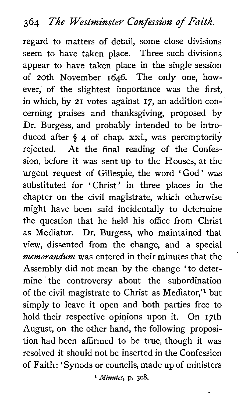## **364 The Westminster Confession of Faith,**

regard to matters of detail, some close divisions seem to have taken place. Three such divisions appear to have taken place in the single session of 20th November 1646. The only one, however,' of the slightest importance was the first, in which, by 21 votes against **17,** an addition concerning praises and thanksgiving, proposed by Dr. Burgess, and probably intended to be introduced after *5* 4 of chap. xxi., was peremptorily rejected. At the final reading of the Confession, before it was sent up to the Houses, at the urgent request of Gillespie, the word ' God' was substituted for 'Christ' in three places in the chapter on the civil magistrate, which otherwise might have been said incidentally to determine the question that he held his office from Christ as Mediator. Dr. Burgess, who maintained that view, dissented from the change, and a special *memorandum* was entered in their minutes that the Assembly did not mean by the change 'to determine the controversy about the subordination of the civil magistrate to Christ as Mediator,'<sup>1</sup> but simply to leave it open and both parties free to hold their respective opinions upon it. On 17th August, on the other hand, the following proposition had been affirmed to be true, though it was resolved it should not be inserted in the Confession of Faith: 'Synods or councils, made up of ministers

*Minutes,* **p. 308.**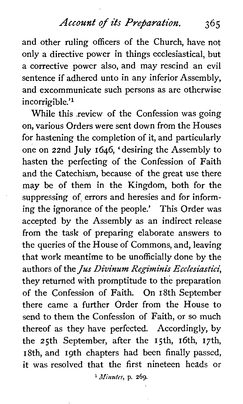Account of its Preparation. 365

and other ruling officers of the Church, have not only a directive power in things ecclesiastical, but a corrective power also, and may rescind an evil sentence if adhered unto in any inferior Assembly, and excommunicate such persons as are otherwise incorrigible.'<sup>1</sup>

While this .review of the Confession was going on, various Orders were sent down from the Houses for hastening the completion of it, and particularly one on 22nd July 1646, 'desiring the Assembly to hasten the perfecting of the Confession of Faith and the Catechism, because of the great use there may be of them in the Kingdom, both for the suppressing of errors and heresies and for informing the ignorance of the people.' This Order was accepted by the Assembly as an indirect release from the task of preparing elaborate answers to the queries of the House of Commons, and, leaving that work meantime to be unofficially done by the authors of the Jus Divinum Regiminis Ecclesiastici. they returned with promptitude to the preparation of the Confession of Faith. On 18th September there came a further Order from the House to send to them the Confession of Faith, or so much thereof as they have perfected. Accordingly, by the  $25th$  September, after the 15th, 16th, 17th, 18th, and 19th chapters had been finally passed, it was resolved that the first nineteen heads or

*Minutes,* p. **269.**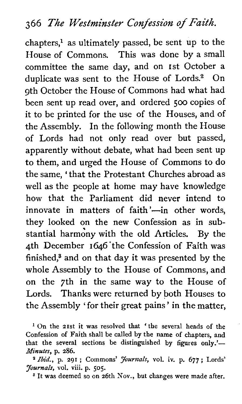## **366 The Westminster Confession of Faith.**

 $chapters<sup>1</sup>$  as ultimately passed, be sent up to the House of Commons. This was done by a small committee the same day, and on 1st October a duplicate was sent to the House of Lords.<sup>2</sup> On 9th October the House of Commons had what had been sent up read over, and ordered **500** copies of it to be printed for the use of the Houses, and of the Assembly. In the following month the House of Lords had not only read over but passed, apparently without debate, what had been sent up to them, and urged the House of Commons to do the same, 'that the Protestant Churches abroad as well as the people at home may have knowledge how that the Parliament did never intend to innovate in matters of faith $\frac{1}{2}$ -in other words, they looked on the new Confession as in substantial harmony with the old Articles. By the 4th December 1646'the Confession of Faith was finished? and on that day it was presented by the whole Assembly to the House of Commons, and on the 7th in the same way to the House of Lords. Thanks were returned by both Houses to the Assembly ' for their great pains ' in the matter,

**l On the 21st it was resolved that 'the several heads of the Confession of Faith shall be called by the name of chapters, and**  that the several sections be distinguished by figures only.'-*Minutes,* **p. 286.** 

*Ibid.,* **p. 291** ; **Commons'** *Journals,* **vol. iv. p. 677; Lords'**  *Journals,* **vol. viii. p. 505.** 

<sup>3</sup> It was deemed so on 26th Nov., but changes were made after.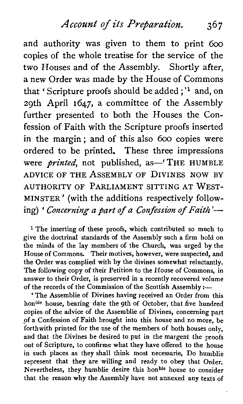**Account** *of* **its** *Preparation,* **36 7** 

and authority was given to them to print 600 copies of the whole treatise for the service of the two Houses and of the Assembly. Shortly after, a new Order was made by the House of Commons that ' Scripture proofs should be added ; **'l** and, on 29th April 1647, a committee of the Assembly further presented to both the Houses the Confession of Faith with the Scripture proofs inserted in the margin ; and of this also 600 copies were ordered to be printed. These three impressions were *printed*, not published, as -- 'THE HUMBLE ADVICE OF THE ASSEMBLY OF DIVINES NOW BY AUTHORITY OF PARLIAMENT SITTING AT WEST-MINSTER' (with the additions respectively following) ' *Concerning a part of a Confession of Faith*'-

<sup>1</sup> The inserting of these proofs, which contributed so much to give the doctrinal standards of the Assembly such a **firm** hold on the minds of the lay members of the Church, was urged by the House of Commons. Their motives, however, were suspected, and the Order was complied with by the divines somewhat reluctantly. The following copy of their Petition to the House of Commons, in answer to their Order, is preserved in a recently recovered volume of the records of the Commission of the Scottish Assembly :-

' The Assemblie of Divines having received an Order from this honble house, bearing date the 9th of October, that five hundred copies of the advice of the Assemblie of Divines, concerning part of a Confession of Faith brought into this house and no more, be forthwith printed for the use of the members of both houses only, and that the Divines be desired to put in the margent the proofs out of Scripture, to confirme what they have offered to the house in such places as they shall think most necessarie, Do humblie represent that they are willing and ready to obey that Order. Nevertheless, they humblie desire this hon<sup>ble</sup> house to consider that the reason why the Assembly have not annexed any texts of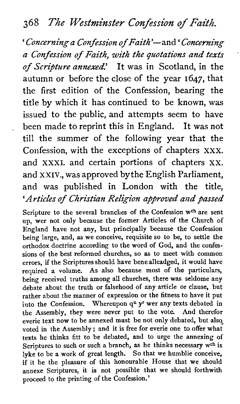## **368 The Westminster Confession of Faith.**

' *Concerning a Confession* of *Faith* '-and ' *Concerning a Confession of Faith, with the quotations and texts* , *of* **Scripture** *annexed!'* It was in Scotland, in the autumn or before the close of the year 1647, that the first edition of the Confession, bearing the title by which it has continued to be known, was issued to the public, and attempts seem to have been made to reprint this in England. It was not till the summer of the following year that the Confession, with the exceptions of chapters **XXX.**  and **XXXI.** and certain portions of chapters **XX.**  and **XXIV.,** was approved bythe English Parliament, and was published in London with the title, *'Articles of Christian Religion approved and passed* 

Scripture to the several branches of the Confession  $w^{ch}$  are sent up, wer not only because the former Articles of the Church of England have not any, but principally because the Confession being large, and, as we conceive, requisite so to be, to settle the orthodox doctrine according to the word of God, and the confessions of the best reformed churches, so as to meet with common errors, if the Scriptures should have bene alleadged, it would have required a volume. As also because most of the particulars, being received truths among all churches, there was seldome any debate about the truth or falsehood of any article or clause, but rather about the manner of expression or the fitness to have it put into the Confession. Whereupon **qn yr** wer any texts debated in the Assembly, they were never put to the vote. And therefor everie text now to be annexed must be not only debated, but also, voted in the Assembly ; and it is free for everie one to offer what texts he thinks fitt to be debated, and to urge the annexing of Scriptures to such or such a branch, as he thinks necessary  $w<sup>ch</sup>$  is lyke to be a work of great length. So that we humblie conceive, if it be the pleasure of this honourable House that we should annexe Scriptures, it is not possible that we should forthwith proceed to the printing of the Confession.'